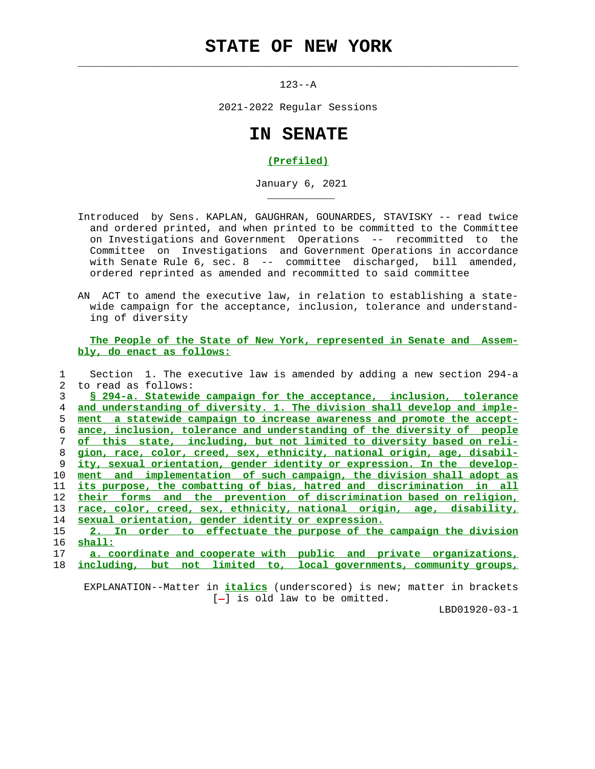## **STATE OF NEW YORK**

 $\mathcal{L}_\text{max} = \frac{1}{2} \sum_{i=1}^{n} \frac{1}{2} \sum_{i=1}^{n} \frac{1}{2} \sum_{i=1}^{n} \frac{1}{2} \sum_{i=1}^{n} \frac{1}{2} \sum_{i=1}^{n} \frac{1}{2} \sum_{i=1}^{n} \frac{1}{2} \sum_{i=1}^{n} \frac{1}{2} \sum_{i=1}^{n} \frac{1}{2} \sum_{i=1}^{n} \frac{1}{2} \sum_{i=1}^{n} \frac{1}{2} \sum_{i=1}^{n} \frac{1}{2} \sum_{i=1}^{n} \frac{1$ 

\_\_\_\_\_\_\_\_\_\_\_

 $123 - -A$ 

2021-2022 Regular Sessions

## **IN SENATE**

## **(Prefiled)**

January 6, 2021

- Introduced by Sens. KAPLAN, GAUGHRAN, GOUNARDES, STAVISKY -- read twice and ordered printed, and when printed to be committed to the Committee on Investigations and Government Operations -- recommitted to the Committee on Investigations and Government Operations in accordance with Senate Rule 6, sec. 8 -- committee discharged, bill amended, ordered reprinted as amended and recommitted to said committee
- AN ACT to amend the executive law, in relation to establishing a state wide campaign for the acceptance, inclusion, tolerance and understand ing of diversity

 **The People of the State of New York, represented in Senate and Assem bly, do enact as follows:**

| Section 1. The executive law is amended by adding a new section 294-a       |
|-----------------------------------------------------------------------------|
| to read as follows:                                                         |
| § 294-a. Statewide campaign for the acceptance, inclusion, tolerance        |
| and understanding of diversity. 1. The division shall develop and imple-    |
| ment a statewide campaign to increase awareness and promote the accept-     |
| ance, inclusion, tolerance and understanding of the diversity of people     |
| of this state, including, but not limited to diversity based on reli-       |
| gion, race, color, creed, sex, ethnicity, national origin, age, disabil-    |
| ity, sexual orientation, gender identity or expression. In the develop-     |
| implementation of such campaign, the division shall adopt as<br>and<br>ment |
| its purpose, the combatting of bias, hatred and discrimination in all       |
| and the prevention of discrimination based on religion,<br>their forms      |
| race, color, creed, sex, ethnicity, national origin, age, disability,       |
| sexual orientation, gender identity or expression.                          |
| 2. In order to effectuate the purpose of the campaign the division          |
| shall:                                                                      |
| a. coordinate and cooperate with public and private organizations,          |
|                                                                             |

18 **including, but not limited to, local governments, community groups,**

 EXPLANATION--Matter in **italics** (underscored) is new; matter in brackets  $[-]$  is old law to be omitted.

LBD01920-03-1